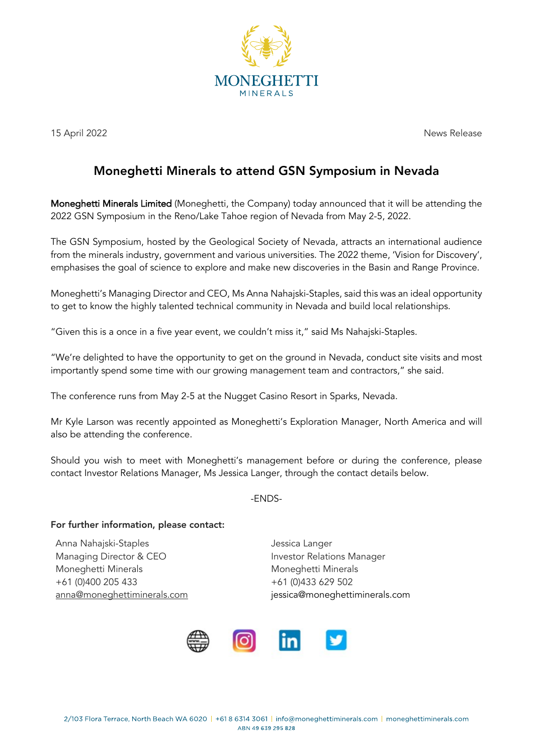

15 April 2022 News Release

## Moneghetti Minerals to attend GSN Symposium in Nevada

Moneghetti Minerals Limited (Moneghetti, the Company) today announced that it will be attending the 2022 GSN Symposium in the Reno/Lake Tahoe region of Nevada from May 2-5, 2022.

The GSN Symposium, hosted by the Geological Society of Nevada, attracts an international audience from the minerals industry, government and various universities. The 2022 theme, 'Vision for Discovery', emphasises the goal of science to explore and make new discoveries in the Basin and Range Province.

Moneghetti's Managing Director and CEO, Ms Anna Nahajski-Staples, said this was an ideal opportunity to get to know the highly talented technical community in Nevada and build local relationships.

"Given this is a once in a five year event, we couldn't miss it," said Ms Nahajski-Staples.

"We're delighted to have the opportunity to get on the ground in Nevada, conduct site visits and most importantly spend some time with our growing management team and contractors," she said.

The conference runs from May 2-5 at the Nugget Casino Resort in Sparks, Nevada.

Mr Kyle Larson was recently appointed as Moneghetti's Exploration Manager, North America and will also be attending the conference.

Should you wish to meet with Moneghetti's management before or during the conference, please contact Investor Relations Manager, Ms Jessica Langer, through the contact details below.

-ENDS-

## For further information, please contact:

Anna Nahajski-Staples and announced by a series of the Jessica Langer Managing Director & CEO **Investor Relations Manager** Moneghetti Minerals Moneghetti Minerals +61 (0)400 205 433 +61 (0)433 629 502

anna@moneghettiminerals.com issica@moneghettiminerals.com